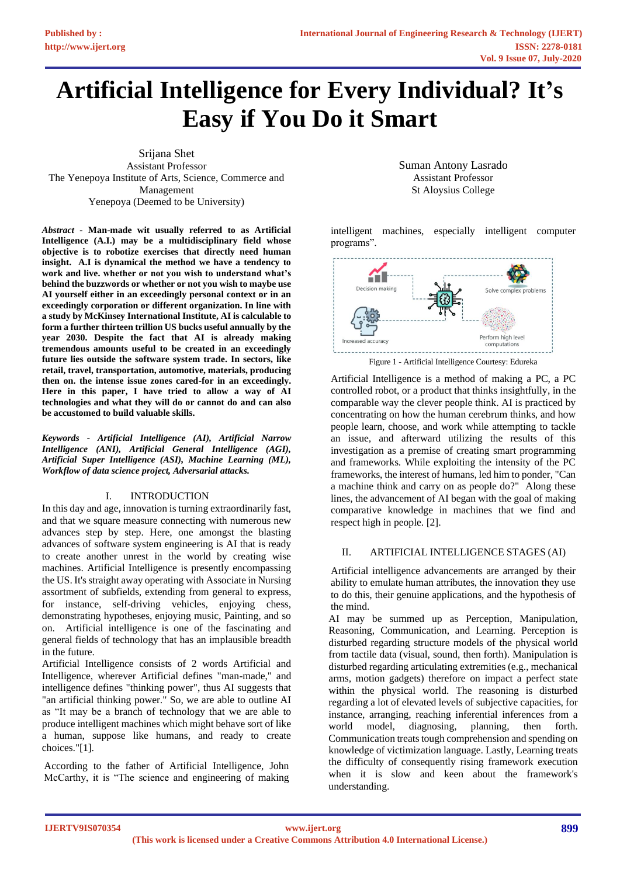# **Artificial Intelligence for Every Individual? It's Easy if You Do it Smart**

Srijana Shet Assistant Professor The Yenepoya Institute of Arts, Science, Commerce and Management Yenepoya (Deemed to be University)

*Abstract -* **Man-made wit usually referred to as Artificial Intelligence (A.I.) may be a multidisciplinary field whose objective is to robotize exercises that directly need human insight. A.I is dynamical the method we have a tendency to work and live. whether or not you wish to understand what's behind the buzzwords or whether or not you wish to maybe use AI yourself either in an exceedingly personal context or in an exceedingly corporation or different organization. In line with a study by McKinsey International Institute, AI is calculable to form a further thirteen trillion US bucks useful annually by the year 2030. Despite the fact that AI is already making tremendous amounts useful to be created in an exceedingly future lies outside the software system trade. In sectors, like retail, travel, transportation, automotive, materials, producing then on. the intense issue zones cared-for in an exceedingly. Here in this paper, I have tried to allow a way of AI technologies and what they will do or cannot do and can also be accustomed to build valuable skills.**

*Keywords - Artificial Intelligence (AI), Artificial Narrow Intelligence (ANI), Artificial General Intelligence (AGI), Artificial Super Intelligence (ASI), Machine Learning (ML), Workflow of data science project, Adversarial attacks.*

## I. INTRODUCTION

In this day and age, innovation is turning extraordinarily fast, and that we square measure connecting with numerous new advances step by step. Here, one amongst the blasting advances of software system engineering is AI that is ready to create another unrest in the world by creating wise machines. Artificial Intelligence is presently encompassing the US. It's straight away operating with Associate in Nursing assortment of subfields, extending from general to express, for instance, self-driving vehicles, enjoying chess, demonstrating hypotheses, enjoying music, Painting, and so on. Artificial intelligence is one of the fascinating and general fields of technology that has an implausible breadth in the future.

Artificial Intelligence consists of 2 words Artificial and Intelligence, wherever Artificial defines "man-made," and intelligence defines "thinking power", thus AI suggests that "an artificial thinking power." So, we are able to outline AI as "It may be a branch of technology that we are able to produce intelligent machines which might behave sort of like a human, suppose like humans, and ready to create choices."[1].

According to the father of Artificial Intelligence, John McCarthy, it is "The science and engineering of making Suman Antony Lasrado Assistant Professor St Aloysius College

intelligent machines, especially intelligent computer programs".



Artificial Intelligence is a method of making a PC, a PC controlled robot, or a product that thinks insightfully, in the comparable way the clever people think. AI is practiced by concentrating on how the human cerebrum thinks, and how people learn, choose, and work while attempting to tackle an issue, and afterward utilizing the results of this investigation as a premise of creating smart programming and frameworks. While exploiting the intensity of the PC frameworks, the interest of humans, led him to ponder, "Can a machine think and carry on as people do?" Along these lines, the advancement of AI began with the goal of making comparative knowledge in machines that we find and respect high in people. [2].

## II. ARTIFICIAL INTELLIGENCE STAGES (AI)

Artificial intelligence advancements are arranged by their ability to emulate human attributes, the innovation they use to do this, their genuine applications, and the hypothesis of the mind.

AI may be summed up as Perception, Manipulation, Reasoning, Communication, and Learning. Perception is disturbed regarding structure models of the physical world from tactile data (visual, sound, then forth). Manipulation is disturbed regarding articulating extremities (e.g., mechanical arms, motion gadgets) therefore on impact a perfect state within the physical world. The reasoning is disturbed regarding a lot of elevated levels of subjective capacities, for instance, arranging, reaching inferential inferences from a world model, diagnosing, planning, then forth. Communication treats tough comprehension and spending on knowledge of victimization language. Lastly, Learning treats the difficulty of consequently rising framework execution when it is slow and keen about the framework's understanding.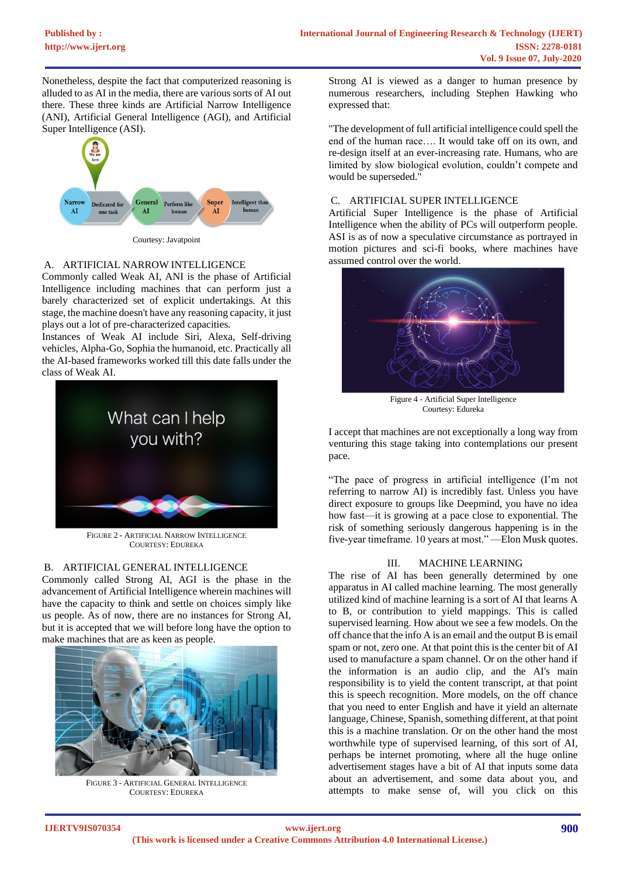Nonetheless, despite the fact that computerized reasoning is alluded to as AI in the media, there are various sorts of AI out there. These three kinds are Artificial Narrow Intelligence (ANI), Artificial General Intelligence (AGI), and Artificial Super Intelligence (ASI).



Courtesy: Javatpoint

## A. ARTIFICIAL NARROW INTELLIGENCE

Commonly called Weak AI, ANI is the phase of Artificial Intelligence including machines that can perform just a barely characterized set of explicit undertakings. At this stage, the machine doesn't have any reasoning capacity, it just plays out a lot of pre-characterized capacities.

Instances of Weak AI include Siri, Alexa, Self-driving vehicles, Alpha-Go, Sophia the humanoid, etc. Practically all the AI-based frameworks worked till this date falls under the class of Weak AI.



FIGURE 2 - ARTIFICIAL NARROW INTELLIGENCE COURTESY: EDUREKA

# B. ARTIFICIAL GENERAL INTELLIGENCE

Commonly called Strong AI, AGI is the phase in the advancement of Artificial Intelligence wherein machines will have the capacity to think and settle on choices simply like us people. As of now, there are no instances for Strong AI, but it is accepted that we will before long have the option to make machines that are as keen as people.



FIGURE 3 - ARTIFICIAL GENERAL INTELLIGENCE COURTESY: EDUREKA

Strong AI is viewed as a danger to human presence by numerous researchers, including Stephen Hawking who expressed that:

"The development of full artificial intelligence could spell the end of the human race…. It would take off on its own, and re-design itself at an ever-increasing rate. Humans, who are limited by slow biological evolution, couldn't compete and would be superseded."

## C. ARTIFICIAL SUPER INTELLIGENCE

Artificial Super Intelligence is the phase of Artificial Intelligence when the ability of PCs will outperform people. ASI is as of now a speculative circumstance as portrayed in motion pictures and sci-fi books, where machines have assumed control over the world.



Figure 4 - Artificial Super Intelligence Courtesy: Edureka

I accept that machines are not exceptionally a long way from venturing this stage taking into contemplations our present pace.

"The pace of progress in artificial intelligence (I'm not referring to narrow AI) is incredibly fast. Unless you have direct exposure to groups like Deepmind, you have no idea how fast—it is growing at a pace close to exponential. The risk of something seriously dangerous happening is in the five-year timeframe. 10 years at most." —Elon Musk quotes.

## III. MACHINE LEARNING

The rise of AI has been generally determined by one apparatus in AI called machine learning. The most generally utilized kind of machine learning is a sort of AI that learns A to B, or contribution to yield mappings. This is called supervised learning. How about we see a few models. On the off chance that the info A is an email and the output B is email spam or not, zero one. At that point this is the center bit of AI used to manufacture a spam channel. Or on the other hand if the information is an audio clip, and the AI's main responsibility is to yield the content transcript, at that point this is speech recognition. More models, on the off chance that you need to enter English and have it yield an alternate language, Chinese, Spanish, something different, at that point this is a machine translation. Or on the other hand the most worthwhile type of supervised learning, of this sort of AI, perhaps be internet promoting, where all the huge online advertisement stages have a bit of AI that inputs some data about an advertisement, and some data about you, and attempts to make sense of, will you click on this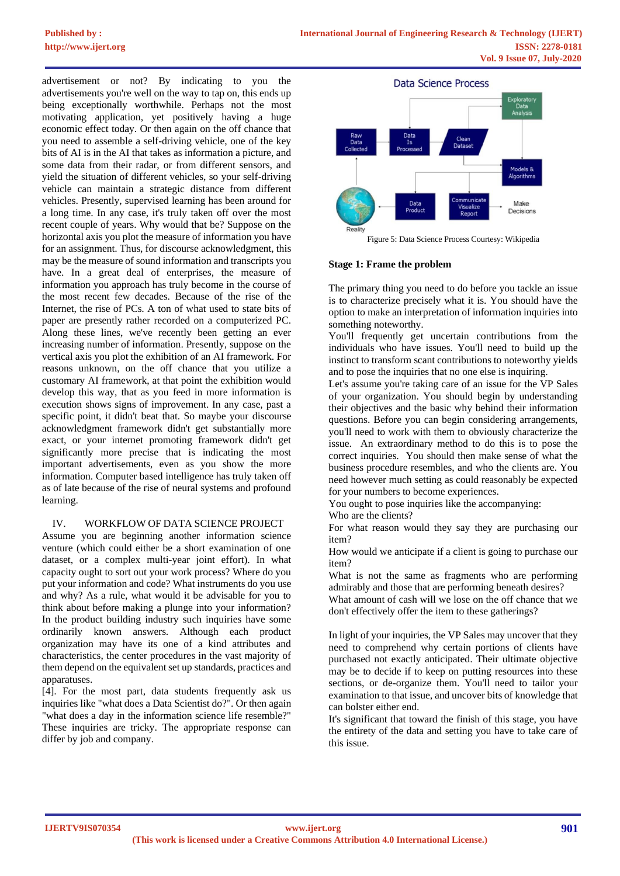advertisement or not? By indicating to you the advertisements you're well on the way to tap on, this ends up being exceptionally worthwhile. Perhaps not the most motivating application, yet positively having a huge economic effect today. Or then again on the off chance that you need to assemble a self-driving vehicle, one of the key bits of AI is in the AI that takes as information a picture, and some data from their radar, or from different sensors, and yield the situation of different vehicles, so your self-driving vehicle can maintain a strategic distance from different vehicles. Presently, supervised learning has been around for a long time. In any case, it's truly taken off over the most recent couple of years. Why would that be? Suppose on the horizontal axis you plot the measure of information you have for an assignment. Thus, for discourse acknowledgment, this may be the measure of sound information and transcripts you have. In a great deal of enterprises, the measure of information you approach has truly become in the course of the most recent few decades. Because of the rise of the Internet, the rise of PCs. A ton of what used to state bits of paper are presently rather recorded on a computerized PC. Along these lines, we've recently been getting an ever increasing number of information. Presently, suppose on the vertical axis you plot the exhibition of an AI framework. For reasons unknown, on the off chance that you utilize a customary AI framework, at that point the exhibition would develop this way, that as you feed in more information is execution shows signs of improvement. In any case, past a specific point, it didn't beat that. So maybe your discourse acknowledgment framework didn't get substantially more exact, or your internet promoting framework didn't get significantly more precise that is indicating the most important advertisements, even as you show the more information. Computer based intelligence has truly taken off as of late because of the rise of neural systems and profound learning.

# IV. WORKFLOW OF DATA SCIENCE PROJECT

Assume you are beginning another information science venture (which could either be a short examination of one dataset, or a complex multi-year joint effort). In what capacity ought to sort out your work process? Where do you put your information and code? What instruments do you use and why? As a rule, what would it be advisable for you to think about before making a plunge into your information? In the product building industry such inquiries have some ordinarily known answers. Although each product organization may have its one of a kind attributes and characteristics, the center procedures in the vast majority of them depend on the equivalent set up standards, practices and apparatuses.

[4]. For the most part, data students frequently ask us inquiries like "what does a Data Scientist do?". Or then again "what does a day in the information science life resemble?" These inquiries are tricky. The appropriate response can differ by job and company.



# **Stage 1: Frame the problem**

The primary thing you need to do before you tackle an issue is to characterize precisely what it is. You should have the option to make an interpretation of information inquiries into something noteworthy.

You'll frequently get uncertain contributions from the individuals who have issues. You'll need to build up the instinct to transform scant contributions to noteworthy yields and to pose the inquiries that no one else is inquiring.

Let's assume you're taking care of an issue for the VP Sales of your organization. You should begin by understanding their objectives and the basic why behind their information questions. Before you can begin considering arrangements, you'll need to work with them to obviously characterize the issue. An extraordinary method to do this is to pose the correct inquiries. You should then make sense of what the business procedure resembles, and who the clients are. You need however much setting as could reasonably be expected for your numbers to become experiences.

You ought to pose inquiries like the accompanying:

Who are the clients?

For what reason would they say they are purchasing our item?

How would we anticipate if a client is going to purchase our item?

What is not the same as fragments who are performing admirably and those that are performing beneath desires?

What amount of cash will we lose on the off chance that we don't effectively offer the item to these gatherings?

In light of your inquiries, the VP Sales may uncover that they need to comprehend why certain portions of clients have purchased not exactly anticipated. Their ultimate objective may be to decide if to keep on putting resources into these sections, or de-organize them. You'll need to tailor your examination to that issue, and uncover bits of knowledge that can bolster either end.

It's significant that toward the finish of this stage, you have the entirety of the data and setting you have to take care of this issue.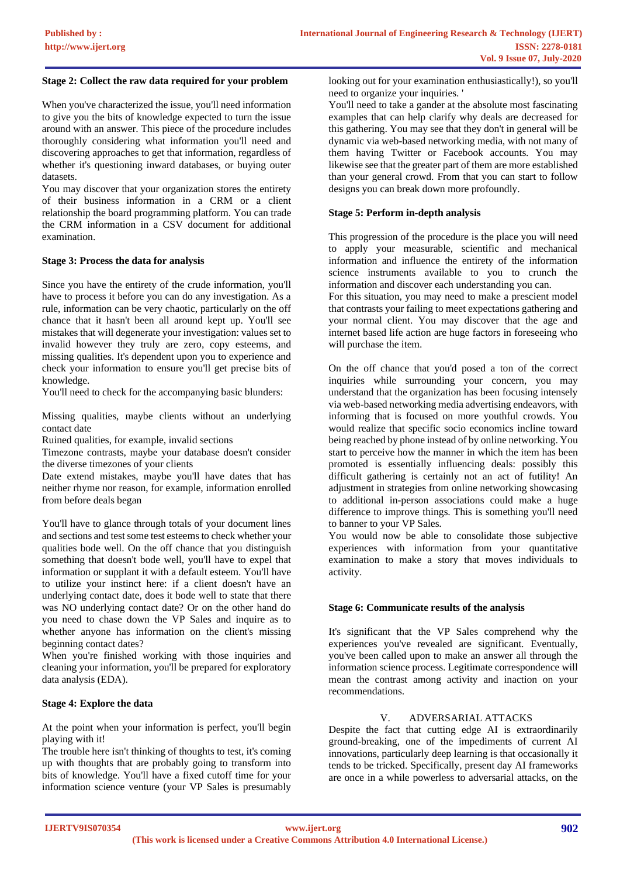#### **Stage 2: Collect the raw data required for your problem**

When you've characterized the issue, you'll need information to give you the bits of knowledge expected to turn the issue around with an answer. This piece of the procedure includes thoroughly considering what information you'll need and discovering approaches to get that information, regardless of whether it's questioning inward databases, or buying outer datasets.

You may discover that your organization stores the entirety of their business information in a CRM or a client relationship the board programming platform. You can trade the CRM information in a CSV document for additional examination.

#### **Stage 3: Process the data for analysis**

Since you have the entirety of the crude information, you'll have to process it before you can do any investigation. As a rule, information can be very chaotic, particularly on the off chance that it hasn't been all around kept up. You'll see mistakes that will degenerate your investigation: values set to invalid however they truly are zero, copy esteems, and missing qualities. It's dependent upon you to experience and check your information to ensure you'll get precise bits of knowledge.

You'll need to check for the accompanying basic blunders:

Missing qualities, maybe clients without an underlying contact date

Ruined qualities, for example, invalid sections

Timezone contrasts, maybe your database doesn't consider the diverse timezones of your clients

Date extend mistakes, maybe you'll have dates that has neither rhyme nor reason, for example, information enrolled from before deals began

You'll have to glance through totals of your document lines and sections and test some test esteems to check whether your qualities bode well. On the off chance that you distinguish something that doesn't bode well, you'll have to expel that information or supplant it with a default esteem. You'll have to utilize your instinct here: if a client doesn't have an underlying contact date, does it bode well to state that there was NO underlying contact date? Or on the other hand do you need to chase down the VP Sales and inquire as to whether anyone has information on the client's missing beginning contact dates?

When you're finished working with those inquiries and cleaning your information, you'll be prepared for exploratory data analysis (EDA).

#### **Stage 4: Explore the data**

At the point when your information is perfect, you'll begin playing with it!

The trouble here isn't thinking of thoughts to test, it's coming up with thoughts that are probably going to transform into bits of knowledge. You'll have a fixed cutoff time for your information science venture (your VP Sales is presumably

looking out for your examination enthusiastically!), so you'll need to organize your inquiries. '

You'll need to take a gander at the absolute most fascinating examples that can help clarify why deals are decreased for this gathering. You may see that they don't in general will be dynamic via web-based networking media, with not many of them having Twitter or Facebook accounts. You may likewise see that the greater part of them are more established than your general crowd. From that you can start to follow designs you can break down more profoundly.

#### **Stage 5: Perform in-depth analysis**

This progression of the procedure is the place you will need to apply your measurable, scientific and mechanical information and influence the entirety of the information science instruments available to you to crunch the information and discover each understanding you can.

For this situation, you may need to make a prescient model that contrasts your failing to meet expectations gathering and your normal client. You may discover that the age and internet based life action are huge factors in foreseeing who will purchase the item.

On the off chance that you'd posed a ton of the correct inquiries while surrounding your concern, you may understand that the organization has been focusing intensely via web-based networking media advertising endeavors, with informing that is focused on more youthful crowds. You would realize that specific socio economics incline toward being reached by phone instead of by online networking. You start to perceive how the manner in which the item has been promoted is essentially influencing deals: possibly this difficult gathering is certainly not an act of futility! An adjustment in strategies from online networking showcasing to additional in-person associations could make a huge difference to improve things. This is something you'll need to banner to your VP Sales.

You would now be able to consolidate those subjective experiences with information from your quantitative examination to make a story that moves individuals to activity.

#### **Stage 6: Communicate results of the analysis**

It's significant that the VP Sales comprehend why the experiences you've revealed are significant. Eventually, you've been called upon to make an answer all through the information science process. Legitimate correspondence will mean the contrast among activity and inaction on your recommendations.

#### V. ADVERSARIAL ATTACKS

Despite the fact that cutting edge AI is extraordinarily ground-breaking, one of the impediments of current AI innovations, particularly deep learning is that occasionally it tends to be tricked. Specifically, present day AI frameworks are once in a while powerless to adversarial attacks, on the